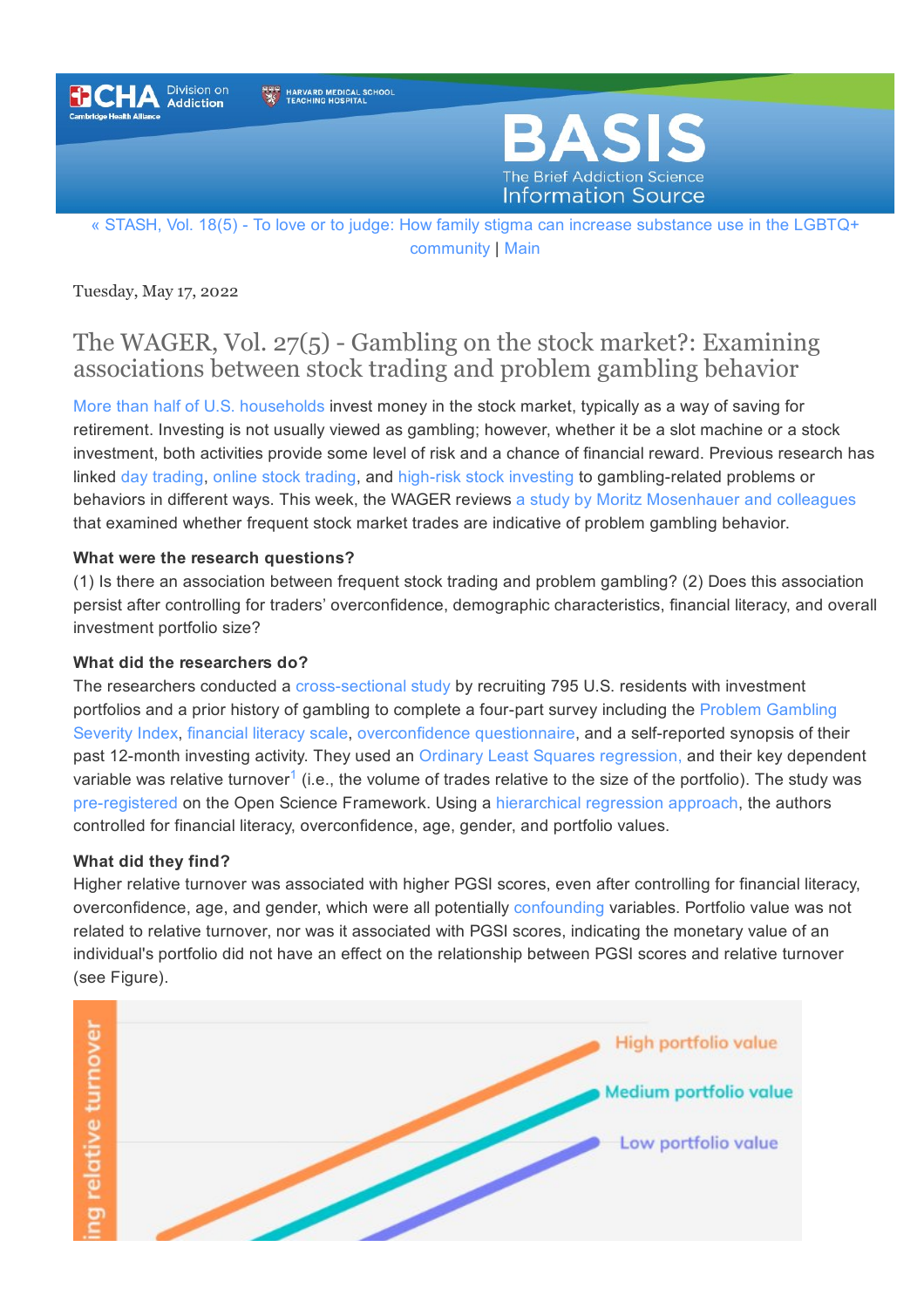

HARVARD MEDICAL SCHOOL



« STASH, Vol. 18(5) - To love or to judge: How family stigma can increase [substance](https://www.basisonline.org/2022/05/family-stigma-increase-substance-use-lgbtq-community.html) use in the LGBTQ+ [community](https://www.basisonline.org/) | [Main](https://www.basisonline.org/)

Tuesday, May 17, 2022

## The WAGER, Vol.  $27(5)$  - Gambling on the stock market?: Examining associations between stock trading and problem gambling behavior

More than half of U.S. [households](https://www.pewresearch.org/fact-tank/2020/03/25/more-than-half-of-u-s-households-have-some-investment-in-the-stock-market/) invest money in the stock market, typically as a way of saving for retirement. Investing is not usually viewed as gambling; however, whether it be a slot machine or a stock investment, both activities provide some level of risk and a chance of financial reward. Previous research has linked day [trading](https://www.basisonline.org/2021/03/gambling-speculation-and-investment.html), online stock [trading,](https://jgi.camh.net/index.php/jgi/article/view/3996) and high-risk stock [investing](https://ideas.repec.org/a/buc/jgbeco/v9y2015i3p34-53.html) to gambling-related problems or behaviors in different ways. This week, the WAGER reviews a study by Moritz [Mosenhauer](https://www.ncbi.nlm.nih.gov/pmc/articles/PMC8997227/) and colleagues that examined whether frequent stock market trades are indicative of problem gambling behavior.

## **What were the research questions?**

(1) Is there an association between frequent stock trading and problem gambling? (2) Does this association persist after controlling for traders' overconfidence, demographic characteristics, financial literacy, and overall investment portfolio size?

### **What did the researchers do?**

The researchers conducted a cross-sectional study by recruiting 795 U.S. residents with investment portfolios and a prior history of gambling to complete a four-part survey including the Problem [Gambling](https://www.basisonline.org/basis_glossary.html#PGSILong) [Severity](https://www.basisonline.org/basis_glossary.html#PGSILong) Index, [financial](https://pubsonline.informs.org/doi/abs/10.1287/mnsc.2013.1849) literacy scale, [overconfidence](https://www.emerald.com/insight/content/doi/10.1108/JEAS-07-2020-0116/full/html) questionnaire, and a self-reported synopsis of their past 12-month investing activity. They used an Ordinary Least Squares regression, and their key dependent variable was relative turnover<sup>[1](#1)</sup> (i.e., the volume of trades relative to the size of the portfolio). The study was pre-registered on the Open Science Framework. Using a hierarchical regression approach, the authors controlled for financial literacy, overconfidence, age, gender, and portfolio values.

### **What did they find?**

Higher relative turnover was associated with higher PGSI scores, even after controlling for financial literacy, overconfidence, age, and gender, which were all potentially [confounding](https://www.basisonline.org/basis_glossary.html#confounding) variables. Portfolio value was not related to relative turnover, nor was it associated with PGSI scores, indicating the monetary value of an individual's portfolio did not have an effect on the relationship between PGSI scores and relative turnover (see Figure).